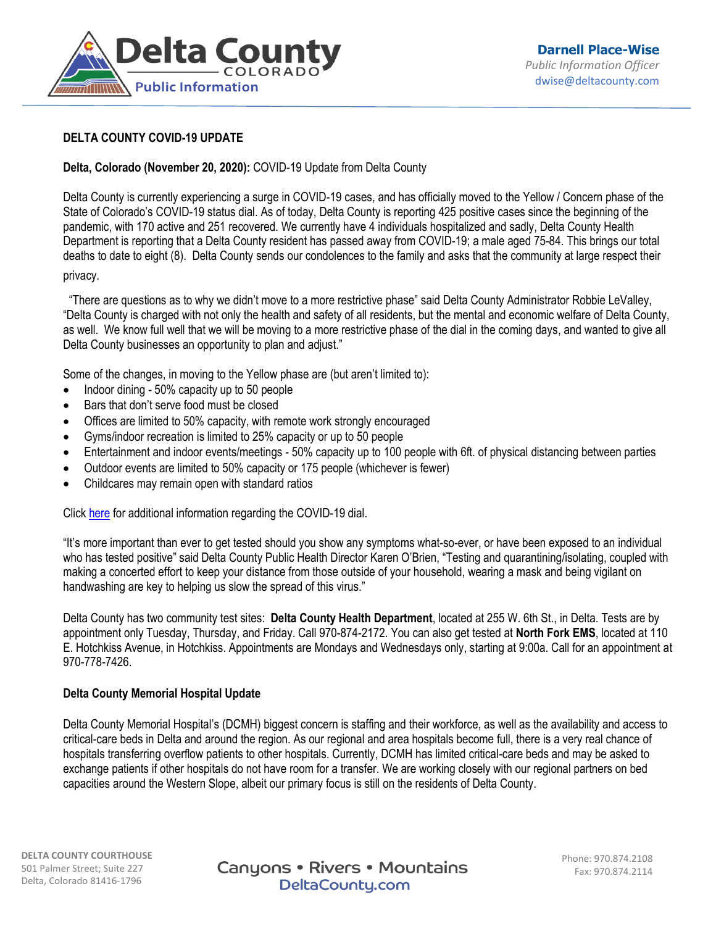

# **DELTA COUNTY COVID-19 UPDATE**

## **Delta, Colorado (November 20, 2020):** COVID-19 Update from Delta County

Delta County is currently experiencing a surge in COVID-19 cases, and has officially moved to the Yellow / Concern phase of the State of Colorado's COVID-19 status dial. As of today, Delta County is reporting 425 positive cases since the beginning of the pandemic, with 170 active and 251 recovered. We currently have 4 individuals hospitalized and sadly, Delta County Health Department is reporting that a Delta County resident has passed away from COVID-19; a male aged 75-84. This brings our total deaths to date to eight (8). Delta County sends our condolences to the family and asks that the community at large respect their privacy.

 "There are questions as to why we didn't move to a more restrictive phase" said Delta County Administrator Robbie LeValley, "Delta County is charged with not only the health and safety of all residents, but the mental and economic welfare of Delta County, as well. We know full well that we will be moving to a more restrictive phase of the dial in the coming days, and wanted to give all Delta County businesses an opportunity to plan and adjust."

Some of the changes, in moving to the Yellow phase are (but aren't limited to):

- $\bullet$  Indoor dining 50% capacity up to 50 people
- Bars that don't serve food must be closed
- Offices are limited to 50% capacity, with remote work strongly encouraged
- Gyms/indoor recreation is limited to 25% capacity or up to 50 people
- Entertainment and indoor events/meetings 50% capacity up to 100 people with 6ft. of physical distancing between parties
- Outdoor events are limited to 50% capacity or 175 people (whichever is fewer)
- Childcares may remain open with standard ratios

Click [here](https://covid19.colorado.gov/covid-19-dial) for additional information regarding the COVID-19 dial.

"It's more important than ever to get tested should you show any symptoms what-so-ever, or have been exposed to an individual who has tested positive" said Delta County Public Health Director Karen O'Brien, "Testing and quarantining/isolating, coupled with making a concerted effort to keep your distance from those outside of your household, wearing a mask and being vigilant on handwashing are key to helping us slow the spread of this virus."

Delta County has two community test sites: **Delta County Health Department**, located at 255 W. 6th St., in Delta. Tests are by appointment only Tuesday, Thursday, and Friday. Call 970-874-2172. You can also get tested at **North Fork EMS**, located at 110 E. Hotchkiss Avenue, in Hotchkiss. Appointments are Mondays and Wednesdays only, starting at 9:00a. Call for an appointment at 970-778-7426.

### **Delta County Memorial Hospital Update**

Delta County Memorial Hospital's (DCMH) biggest concern is staffing and their workforce, as well as the availability and access to critical-care beds in Delta and around the region. As our regional and area hospitals become full, there is a very real chance of hospitals transferring overflow patients to other hospitals. Currently, DCMH has limited critical-care beds and may be asked to exchange patients if other hospitals do not have room for a transfer. We are working closely with our regional partners on bed capacities around the Western Slope, albeit our primary focus is still on the residents of Delta County.

Canyons • Rivers • Mountains DeltaCounty.com